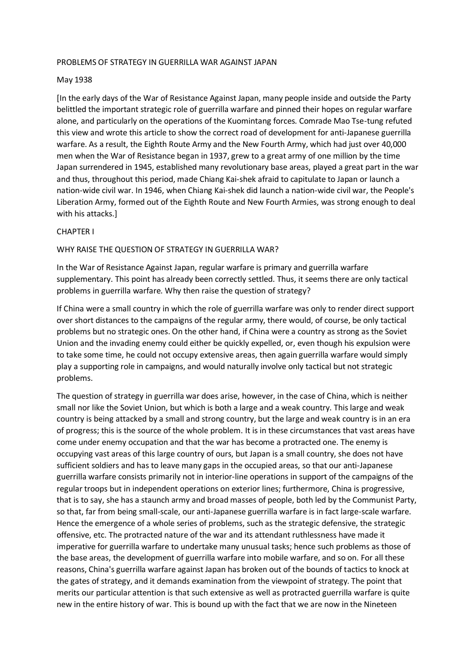#### PROBLEMS OF STRATEGY IN GUERRILLA WAR AGAINST JAPAN

#### May 1938

[In the early days of the War of Resistance Against Japan, many people inside and outside the Party belittled the important strategic role of guerrilla warfare and pinned their hopes on regular warfare alone, and particularly on the operations of the Kuomintang forces. Comrade Mao Tse-tung refuted this view and wrote this article to show the correct road of development for anti-Japanese guerrilla warfare. As a result, the Eighth Route Army and the New Fourth Army, which had just over 40,000 men when the War of Resistance began in 1937, grew to a great army of one million by the time Japan surrendered in 1945, established many revolutionary base areas, played a great part in the war and thus, throughout this period, made Chiang Kai-shek afraid to capitulate to Japan or launch a nation-wide civil war. In 1946, when Chiang Kai-shek did launch a nation-wide civil war, the People's Liberation Army, formed out of the Eighth Route and New Fourth Armies, was strong enough to deal with his attacks.]

### CHAPTER I

#### WHY RAISE THE QUESTION OF STRATEGY IN GUERRILLA WAR?

In the War of Resistance Against Japan, regular warfare is primary and guerrilla warfare supplementary. This point has already been correctly settled. Thus, it seems there are only tactical problems in guerrilla warfare. Why then raise the question of strategy?

If China were a small country in which the role of guerrilla warfare was only to render direct support over short distances to the campaigns of the regular army, there would, of course, be only tactical problems but no strategic ones. On the other hand, if China were a country as strong as the Soviet Union and the invading enemy could either be quickly expelled, or, even though his expulsion were to take some time, he could not occupy extensive areas, then again guerrilla warfare would simply play a supporting role in campaigns, and would naturally involve only tactical but not strategic problems.

The question of strategy in guerrilla war does arise, however, in the case of China, which is neither small nor like the Soviet Union, but which is both a large and a weak country. This large and weak country is being attacked by a small and strong country, but the large and weak country is in an era of progress; this is the source of the whole problem. It is in these circumstances that vast areas have come under enemy occupation and that the war has become a protracted one. The enemy is occupying vast areas of this large country of ours, but Japan is a small country, she does not have sufficient soldiers and has to leave many gaps in the occupied areas, so that our anti-Japanese guerrilla warfare consists primarily not in interior-line operations in support of the campaigns of the regular troops but in independent operations on exterior lines; furthermore, China is progressive, that is to say, she has a staunch army and broad masses of people, both led by the Communist Party, so that, far from being small-scale, our anti-Japanese guerrilla warfare is in fact large-scale warfare. Hence the emergence of a whole series of problems, such as the strategic defensive, the strategic offensive, etc. The protracted nature of the war and its attendant ruthlessness have made it imperative for guerrilla warfare to undertake many unusual tasks; hence such problems as those of the base areas, the development of guerrilla warfare into mobile warfare, and so on. For all these reasons, China's guerrilla warfare against Japan has broken out of the bounds of tactics to knock at the gates of strategy, and it demands examination from the viewpoint of strategy. The point that merits our particular attention is that such extensive as well as protracted guerrilla warfare is quite new in the entire history of war. This is bound up with the fact that we are now in the Nineteen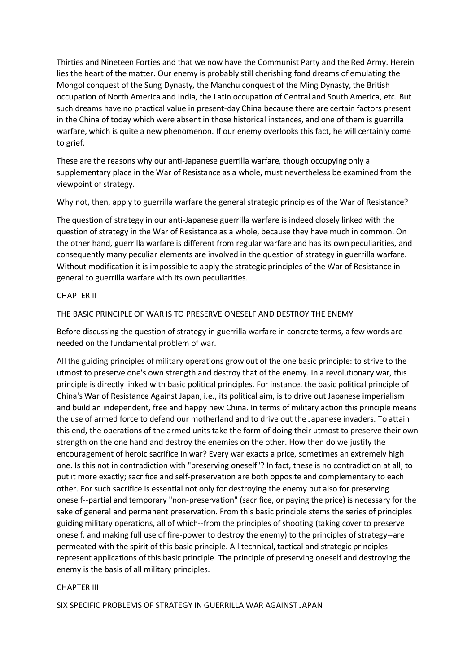Thirties and Nineteen Forties and that we now have the Communist Party and the Red Army. Herein lies the heart of the matter. Our enemy is probably still cherishing fond dreams of emulating the Mongol conquest of the Sung Dynasty, the Manchu conquest of the Ming Dynasty, the British occupation of North America and India, the Latin occupation of Central and South America, etc. But such dreams have no practical value in present-day China because there are certain factors present in the China of today which were absent in those historical instances, and one of them is guerrilla warfare, which is quite a new phenomenon. If our enemy overlooks this fact, he will certainly come to grief.

These are the reasons why our anti-Japanese guerrilla warfare, though occupying only a supplementary place in the War of Resistance as a whole, must nevertheless be examined from the viewpoint of strategy.

Why not, then, apply to guerrilla warfare the general strategic principles of the War of Resistance?

The question of strategy in our anti-Japanese guerrilla warfare is indeed closely linked with the question of strategy in the War of Resistance as a whole, because they have much in common. On the other hand, guerrilla warfare is different from regular warfare and has its own peculiarities, and consequently many peculiar elements are involved in the question of strategy in guerrilla warfare. Without modification it is impossible to apply the strategic principles of the War of Resistance in general to guerrilla warfare with its own peculiarities.

### CHAPTER II

### THE BASIC PRINCIPLE OF WAR IS TO PRESERVE ONESELF AND DESTROY THE ENEMY

Before discussing the question of strategy in guerrilla warfare in concrete terms, a few words are needed on the fundamental problem of war.

All the guiding principles of military operations grow out of the one basic principle: to strive to the utmost to preserve one's own strength and destroy that of the enemy. In a revolutionary war, this principle is directly linked with basic political principles. For instance, the basic political principle of China's War of Resistance Against Japan, i.e., its political aim, is to drive out Japanese imperialism and build an independent, free and happy new China. In terms of military action this principle means the use of armed force to defend our motherland and to drive out the Japanese invaders. To attain this end, the operations of the armed units take the form of doing their utmost to preserve their own strength on the one hand and destroy the enemies on the other. How then do we justify the encouragement of heroic sacrifice in war? Every war exacts a price, sometimes an extremely high one. Is this not in contradiction with "preserving oneself"? In fact, these is no contradiction at all; to put it more exactly; sacrifice and self-preservation are both opposite and complementary to each other. For such sacrifice is essential not only for destroying the enemy but also for preserving oneself--partial and temporary "non-preservation" (sacrifice, or paying the price) is necessary for the sake of general and permanent preservation. From this basic principle stems the series of principles guiding military operations, all of which--from the principles of shooting (taking cover to preserve oneself, and making full use of fire-power to destroy the enemy) to the principles of strategy--are permeated with the spirit of this basic principle. All technical, tactical and strategic principles represent applications of this basic principle. The principle of preserving oneself and destroying the enemy is the basis of all military principles.

### CHAPTER III

SIX SPECIFIC PROBLEMS OF STRATEGY IN GUERRILLA WAR AGAINST JAPAN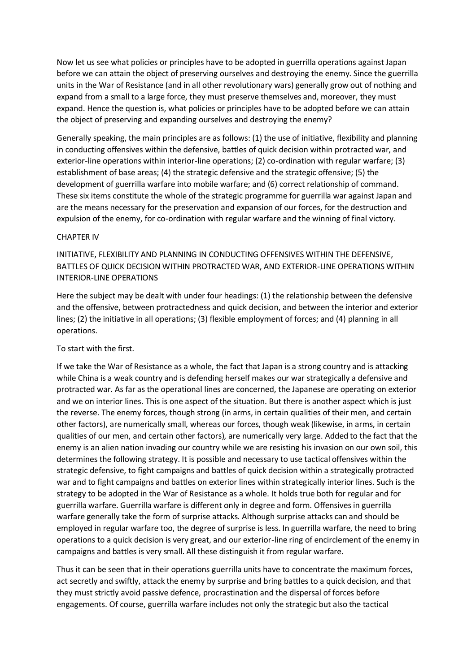Now let us see what policies or principles have to be adopted in guerrilla operations against Japan before we can attain the object of preserving ourselves and destroying the enemy. Since the guerrilla units in the War of Resistance (and in all other revolutionary wars) generally grow out of nothing and expand from a small to a large force, they must preserve themselves and, moreover, they must expand. Hence the question is, what policies or principles have to be adopted before we can attain the object of preserving and expanding ourselves and destroying the enemy?

Generally speaking, the main principles are as follows: (1) the use of initiative, flexibility and planning in conducting offensives within the defensive, battles of quick decision within protracted war, and exterior-line operations within interior-line operations; (2) co-ordination with regular warfare; (3) establishment of base areas; (4) the strategic defensive and the strategic offensive; (5) the development of guerrilla warfare into mobile warfare; and (6) correct relationship of command. These six items constitute the whole of the strategic programme for guerrilla war against Japan and are the means necessary for the preservation and expansion of our forces, for the destruction and expulsion of the enemy, for co-ordination with regular warfare and the winning of final victory.

### CHAPTER IV

INITIATIVE, FLEXIBILITY AND PLANNING IN CONDUCTING OFFENSIVES WITHIN THE DEFENSIVE, BATTLES OF QUICK DECISION WITHIN PROTRACTED WAR, AND EXTERIOR-LINE OPERATIONS WITHIN INTERIOR-LINE OPERATIONS

Here the subject may be dealt with under four headings: (1) the relationship between the defensive and the offensive, between protractedness and quick decision, and between the interior and exterior lines; (2) the initiative in all operations; (3) flexible employment of forces; and (4) planning in all operations.

### To start with the first.

If we take the War of Resistance as a whole, the fact that Japan is a strong country and is attacking while China is a weak country and is defending herself makes our war strategically a defensive and protracted war. As far as the operational lines are concerned, the Japanese are operating on exterior and we on interior lines. This is one aspect of the situation. But there is another aspect which is just the reverse. The enemy forces, though strong (in arms, in certain qualities of their men, and certain other factors), are numerically small, whereas our forces, though weak (likewise, in arms, in certain qualities of our men, and certain other factors), are numerically very large. Added to the fact that the enemy is an alien nation invading our country while we are resisting his invasion on our own soil, this determines the following strategy. It is possible and necessary to use tactical offensives within the strategic defensive, to fight campaigns and battles of quick decision within a strategically protracted war and to fight campaigns and battles on exterior lines within strategically interior lines. Such is the strategy to be adopted in the War of Resistance as a whole. It holds true both for regular and for guerrilla warfare. Guerrilla warfare is different only in degree and form. Offensives in guerrilla warfare generally take the form of surprise attacks. Although surprise attacks can and should be employed in regular warfare too, the degree of surprise is less. In guerrilla warfare, the need to bring operations to a quick decision is very great, and our exterior-line ring of encirclement of the enemy in campaigns and battles is very small. All these distinguish it from regular warfare.

Thus it can be seen that in their operations guerrilla units have to concentrate the maximum forces, act secretly and swiftly, attack the enemy by surprise and bring battles to a quick decision, and that they must strictly avoid passive defence, procrastination and the dispersal of forces before engagements. Of course, guerrilla warfare includes not only the strategic but also the tactical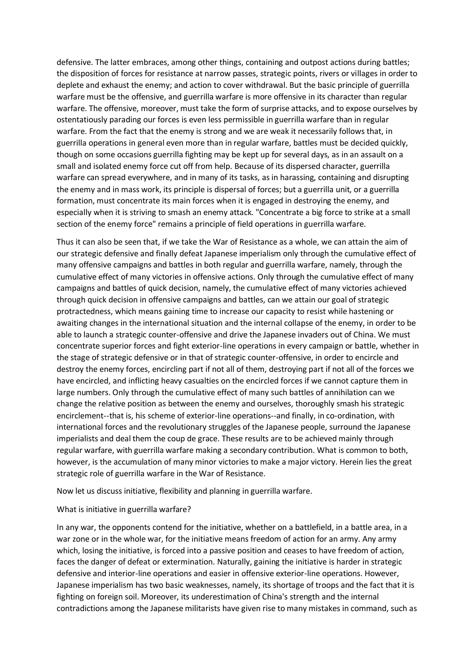defensive. The latter embraces, among other things, containing and outpost actions during battles; the disposition of forces for resistance at narrow passes, strategic points, rivers or villages in order to deplete and exhaust the enemy; and action to cover withdrawal. But the basic principle of guerrilla warfare must be the offensive, and guerrilla warfare is more offensive in its character than regular warfare. The offensive, moreover, must take the form of surprise attacks, and to expose ourselves by ostentatiously parading our forces is even less permissible in guerrilla warfare than in regular warfare. From the fact that the enemy is strong and we are weak it necessarily follows that, in guerrilla operations in general even more than in regular warfare, battles must be decided quickly, though on some occasions guerrilla fighting may be kept up for several days, as in an assault on a small and isolated enemy force cut off from help. Because of its dispersed character, guerrilla warfare can spread everywhere, and in many of its tasks, as in harassing, containing and disrupting the enemy and in mass work, its principle is dispersal of forces; but a guerrilla unit, or a guerrilla formation, must concentrate its main forces when it is engaged in destroying the enemy, and especially when it is striving to smash an enemy attack. "Concentrate a big force to strike at a small section of the enemy force" remains a principle of field operations in guerrilla warfare.

Thus it can also be seen that, if we take the War of Resistance as a whole, we can attain the aim of our strategic defensive and finally defeat Japanese imperialism only through the cumulative effect of many offensive campaigns and battles in both regular and guerrilla warfare, namely, through the cumulative effect of many victories in offensive actions. Only through the cumulative effect of many campaigns and battles of quick decision, namely, the cumulative effect of many victories achieved through quick decision in offensive campaigns and battles, can we attain our goal of strategic protractedness, which means gaining time to increase our capacity to resist while hastening or awaiting changes in the international situation and the internal collapse of the enemy, in order to be able to launch a strategic counter-offensive and drive the Japanese invaders out of China. We must concentrate superior forces and fight exterior-line operations in every campaign or battle, whether in the stage of strategic defensive or in that of strategic counter-offensive, in order to encircle and destroy the enemy forces, encircling part if not all of them, destroying part if not all of the forces we have encircled, and inflicting heavy casualties on the encircled forces if we cannot capture them in large numbers. Only through the cumulative effect of many such battles of annihilation can we change the relative position as between the enemy and ourselves, thoroughly smash his strategic encirclement--that is, his scheme of exterior-line operations--and finally, in co-ordination, with international forces and the revolutionary struggles of the Japanese people, surround the Japanese imperialists and deal them the coup de grace. These results are to be achieved mainly through regular warfare, with guerrilla warfare making a secondary contribution. What is common to both, however, is the accumulation of many minor victories to make a major victory. Herein lies the great strategic role of guerrilla warfare in the War of Resistance.

Now let us discuss initiative, flexibility and planning in guerrilla warfare.

### What is initiative in guerrilla warfare?

In any war, the opponents contend for the initiative, whether on a battlefield, in a battle area, in a war zone or in the whole war, for the initiative means freedom of action for an army. Any army which, losing the initiative, is forced into a passive position and ceases to have freedom of action, faces the danger of defeat or extermination. Naturally, gaining the initiative is harder in strategic defensive and interior-line operations and easier in offensive exterior-line operations. However, Japanese imperialism has two basic weaknesses, namely, its shortage of troops and the fact that it is fighting on foreign soil. Moreover, its underestimation of China's strength and the internal contradictions among the Japanese militarists have given rise to many mistakes in command, such as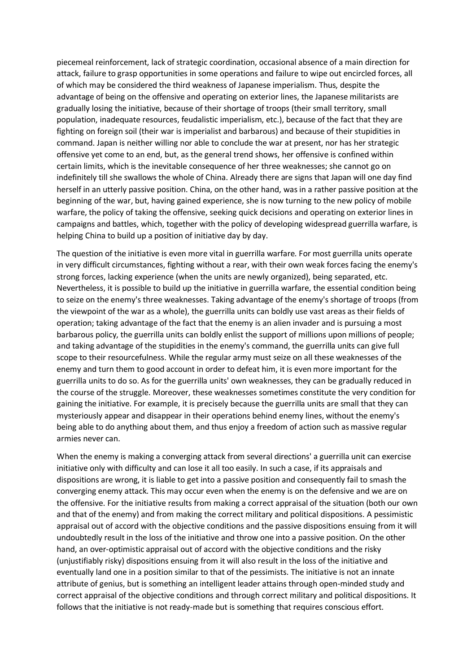piecemeal reinforcement, lack of strategic coordination, occasional absence of a main direction for attack, failure to grasp opportunities in some operations and failure to wipe out encircled forces, all of which may be considered the third weakness of Japanese imperialism. Thus, despite the advantage of being on the offensive and operating on exterior lines, the Japanese militarists are gradually losing the initiative, because of their shortage of troops (their small territory, small population, inadequate resources, feudalistic imperialism, etc.), because of the fact that they are fighting on foreign soil (their war is imperialist and barbarous) and because of their stupidities in command. Japan is neither willing nor able to conclude the war at present, nor has her strategic offensive yet come to an end, but, as the general trend shows, her offensive is confined within certain limits, which is the inevitable consequence of her three weaknesses; she cannot go on indefinitely till she swallows the whole of China. Already there are signs that Japan will one day find herself in an utterly passive position. China, on the other hand, was in a rather passive position at the beginning of the war, but, having gained experience, she is now turning to the new policy of mobile warfare, the policy of taking the offensive, seeking quick decisions and operating on exterior lines in campaigns and battles, which, together with the policy of developing widespread guerrilla warfare, is helping China to build up a position of initiative day by day.

The question of the initiative is even more vital in guerrilla warfare. For most guerrilla units operate in very difficult circumstances, fighting without a rear, with their own weak forces facing the enemy's strong forces, lacking experience (when the units are newly organized), being separated, etc. Nevertheless, it is possible to build up the initiative in guerrilla warfare, the essential condition being to seize on the enemy's three weaknesses. Taking advantage of the enemy's shortage of troops (from the viewpoint of the war as a whole), the guerrilla units can boldly use vast areas as their fields of operation; taking advantage of the fact that the enemy is an alien invader and is pursuing a most barbarous policy, the guerrilla units can boldly enlist the support of millions upon millions of people; and taking advantage of the stupidities in the enemy's command, the guerrilla units can give full scope to their resourcefulness. While the regular army must seize on all these weaknesses of the enemy and turn them to good account in order to defeat him, it is even more important for the guerrilla units to do so. As for the guerrilla units' own weaknesses, they can be gradually reduced in the course of the struggle. Moreover, these weaknesses sometimes constitute the very condition for gaining the initiative. For example, it is precisely because the guerrilla units are small that they can mysteriously appear and disappear in their operations behind enemy lines, without the enemy's being able to do anything about them, and thus enjoy a freedom of action such as massive regular armies never can.

When the enemy is making a converging attack from several directions' a guerrilla unit can exercise initiative only with difficulty and can lose it all too easily. In such a case, if its appraisals and dispositions are wrong, it is liable to get into a passive position and consequently fail to smash the converging enemy attack. This may occur even when the enemy is on the defensive and we are on the offensive. For the initiative results from making a correct appraisal of the situation (both our own and that of the enemy) and from making the correct military and political dispositions. A pessimistic appraisal out of accord with the objective conditions and the passive dispositions ensuing from it will undoubtedly result in the loss of the initiative and throw one into a passive position. On the other hand, an over-optimistic appraisal out of accord with the objective conditions and the risky (unjustifiably risky) dispositions ensuing from it will also result in the loss of the initiative and eventually land one in a position similar to that of the pessimists. The initiative is not an innate attribute of genius, but is something an intelligent leader attains through open-minded study and correct appraisal of the objective conditions and through correct military and political dispositions. It follows that the initiative is not ready-made but is something that requires conscious effort.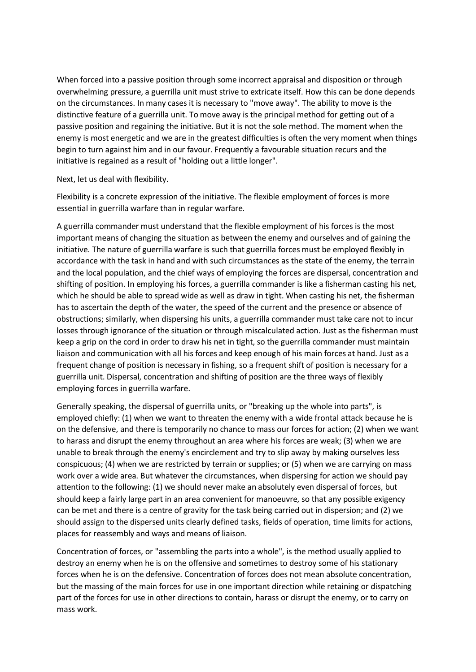When forced into a passive position through some incorrect appraisal and disposition or through overwhelming pressure, a guerrilla unit must strive to extricate itself. How this can be done depends on the circumstances. In many cases it is necessary to "move away". The ability to move is the distinctive feature of a guerrilla unit. To move away is the principal method for getting out of a passive position and regaining the initiative. But it is not the sole method. The moment when the enemy is most energetic and we are in the greatest difficulties is often the very moment when things begin to turn against him and in our favour. Frequently a favourable situation recurs and the initiative is regained as a result of "holding out a little longer".

Next, let us deal with flexibility.

Flexibility is a concrete expression of the initiative. The flexible employment of forces is more essential in guerrilla warfare than in regular warfare.

A guerrilla commander must understand that the flexible employment of his forces is the most important means of changing the situation as between the enemy and ourselves and of gaining the initiative. The nature of guerrilla warfare is such that guerrilla forces must be employed flexibly in accordance with the task in hand and with such circumstances as the state of the enemy, the terrain and the local population, and the chief ways of employing the forces are dispersal, concentration and shifting of position. In employing his forces, a guerrilla commander is like a fisherman casting his net, which he should be able to spread wide as well as draw in tight. When casting his net, the fisherman has to ascertain the depth of the water, the speed of the current and the presence or absence of obstructions; similarly, when dispersing his units, a guerrilla commander must take care not to incur losses through ignorance of the situation or through miscalculated action. Just as the fisherman must keep a grip on the cord in order to draw his net in tight, so the guerrilla commander must maintain liaison and communication with all his forces and keep enough of his main forces at hand. Just as a frequent change of position is necessary in fishing, so a frequent shift of position is necessary for a guerrilla unit. Dispersal, concentration and shifting of position are the three ways of flexibly employing forces in guerrilla warfare.

Generally speaking, the dispersal of guerrilla units, or "breaking up the whole into parts", is employed chiefly: (1) when we want to threaten the enemy with a wide frontal attack because he is on the defensive, and there is temporarily no chance to mass our forces for action; (2) when we want to harass and disrupt the enemy throughout an area where his forces are weak; (3) when we are unable to break through the enemy's encirclement and try to slip away by making ourselves less conspicuous; (4) when we are restricted by terrain or supplies; or (5) when we are carrying on mass work over a wide area. But whatever the circumstances, when dispersing for action we should pay attention to the following: (1) we should never make an absolutely even dispersal of forces, but should keep a fairly large part in an area convenient for manoeuvre, so that any possible exigency can be met and there is a centre of gravity for the task being carried out in dispersion; and (2) we should assign to the dispersed units clearly defined tasks, fields of operation, time limits for actions, places for reassembly and ways and means of liaison.

Concentration of forces, or "assembling the parts into a whole", is the method usually applied to destroy an enemy when he is on the offensive and sometimes to destroy some of his stationary forces when he is on the defensive. Concentration of forces does not mean absolute concentration, but the massing of the main forces for use in one important direction while retaining or dispatching part of the forces for use in other directions to contain, harass or disrupt the enemy, or to carry on mass work.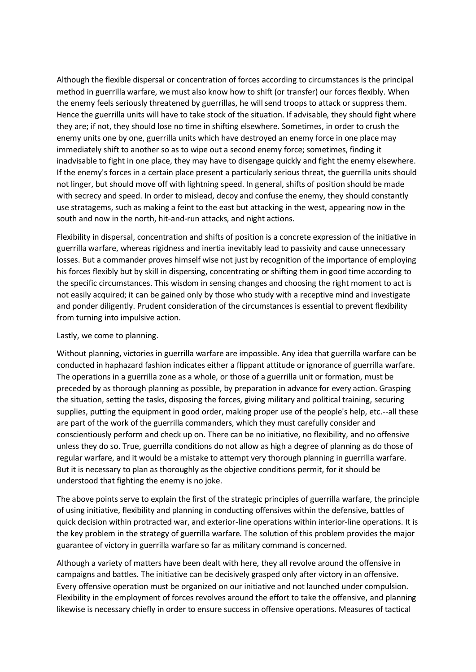Although the flexible dispersal or concentration of forces according to circumstances is the principal method in guerrilla warfare, we must also know how to shift (or transfer) our forces flexibly. When the enemy feels seriously threatened by guerrillas, he will send troops to attack or suppress them. Hence the guerrilla units will have to take stock of the situation. If advisable, they should fight where they are; if not, they should lose no time in shifting elsewhere. Sometimes, in order to crush the enemy units one by one, guerrilla units which have destroyed an enemy force in one place may immediately shift to another so as to wipe out a second enemy force; sometimes, finding it inadvisable to fight in one place, they may have to disengage quickly and fight the enemy elsewhere. If the enemy's forces in a certain place present a particularly serious threat, the guerrilla units should not linger, but should move off with lightning speed. In general, shifts of position should be made with secrecy and speed. In order to mislead, decoy and confuse the enemy, they should constantly use stratagems, such as making a feint to the east but attacking in the west, appearing now in the south and now in the north, hit-and-run attacks, and night actions.

Flexibility in dispersal, concentration and shifts of position is a concrete expression of the initiative in guerrilla warfare, whereas rigidness and inertia inevitably lead to passivity and cause unnecessary losses. But a commander proves himself wise not just by recognition of the importance of employing his forces flexibly but by skill in dispersing, concentrating or shifting them in good time according to the specific circumstances. This wisdom in sensing changes and choosing the right moment to act is not easily acquired; it can be gained only by those who study with a receptive mind and investigate and ponder diligently. Prudent consideration of the circumstances is essential to prevent flexibility from turning into impulsive action.

#### Lastly, we come to planning.

Without planning, victories in guerrilla warfare are impossible. Any idea that guerrilla warfare can be conducted in haphazard fashion indicates either a flippant attitude or ignorance of guerrilla warfare. The operations in a guerrilla zone as a whole, or those of a guerrilla unit or formation, must be preceded by as thorough planning as possible, by preparation in advance for every action. Grasping the situation, setting the tasks, disposing the forces, giving military and political training, securing supplies, putting the equipment in good order, making proper use of the people's help, etc.--all these are part of the work of the guerrilla commanders, which they must carefully consider and conscientiously perform and check up on. There can be no initiative, no flexibility, and no offensive unless they do so. True, guerrilla conditions do not allow as high a degree of planning as do those of regular warfare, and it would be a mistake to attempt very thorough planning in guerrilla warfare. But it is necessary to plan as thoroughly as the objective conditions permit, for it should be understood that fighting the enemy is no joke.

The above points serve to explain the first of the strategic principles of guerrilla warfare, the principle of using initiative, flexibility and planning in conducting offensives within the defensive, battles of quick decision within protracted war, and exterior-line operations within interior-line operations. It is the key problem in the strategy of guerrilla warfare. The solution of this problem provides the major guarantee of victory in guerrilla warfare so far as military command is concerned.

Although a variety of matters have been dealt with here, they all revolve around the offensive in campaigns and battles. The initiative can be decisively grasped only after victory in an offensive. Every offensive operation must be organized on our initiative and not launched under compulsion. Flexibility in the employment of forces revolves around the effort to take the offensive, and planning likewise is necessary chiefly in order to ensure success in offensive operations. Measures of tactical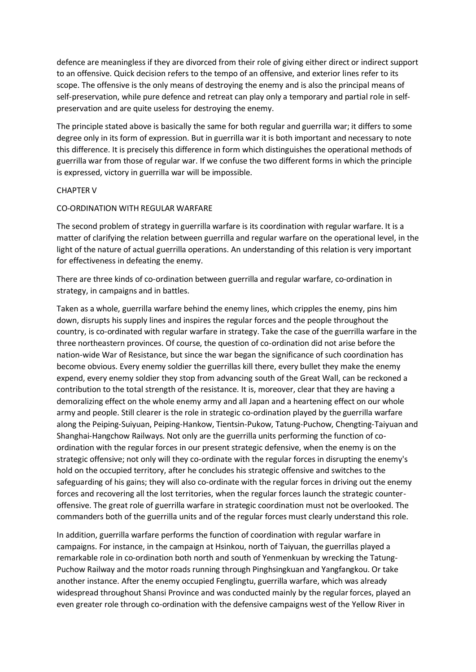defence are meaningless if they are divorced from their role of giving either direct or indirect support to an offensive. Quick decision refers to the tempo of an offensive, and exterior lines refer to its scope. The offensive is the only means of destroying the enemy and is also the principal means of self-preservation, while pure defence and retreat can play only a temporary and partial role in selfpreservation and are quite useless for destroying the enemy.

The principle stated above is basically the same for both regular and guerrilla war; it differs to some degree only in its form of expression. But in guerrilla war it is both important and necessary to note this difference. It is precisely this difference in form which distinguishes the operational methods of guerrilla war from those of regular war. If we confuse the two different forms in which the principle is expressed, victory in guerrilla war will be impossible.

### CHAPTER V

# CO-ORDINATION WITH REGULAR WARFARE

The second problem of strategy in guerrilla warfare is its coordination with regular warfare. It is a matter of clarifying the relation between guerrilla and regular warfare on the operational level, in the light of the nature of actual guerrilla operations. An understanding of this relation is very important for effectiveness in defeating the enemy.

There are three kinds of co-ordination between guerrilla and regular warfare, co-ordination in strategy, in campaigns and in battles.

Taken as a whole, guerrilla warfare behind the enemy lines, which cripples the enemy, pins him down, disrupts his supply lines and inspires the regular forces and the people throughout the country, is co-ordinated with regular warfare in strategy. Take the case of the guerrilla warfare in the three northeastern provinces. Of course, the question of co-ordination did not arise before the nation-wide War of Resistance, but since the war began the significance of such coordination has become obvious. Every enemy soldier the guerrillas kill there, every bullet they make the enemy expend, every enemy soldier they stop from advancing south of the Great Wall, can be reckoned a contribution to the total strength of the resistance. It is, moreover, clear that they are having a demoralizing effect on the whole enemy army and all Japan and a heartening effect on our whole army and people. Still clearer is the role in strategic co-ordination played by the guerrilla warfare along the Peiping-Suiyuan, Peiping-Hankow, Tientsin-Pukow, Tatung-Puchow, Chengting-Taiyuan and Shanghai-Hangchow Railways. Not only are the guerrilla units performing the function of coordination with the regular forces in our present strategic defensive, when the enemy is on the strategic offensive; not only will they co-ordinate with the regular forces in disrupting the enemy's hold on the occupied territory, after he concludes his strategic offensive and switches to the safeguarding of his gains; they will also co-ordinate with the regular forces in driving out the enemy forces and recovering all the lost territories, when the regular forces launch the strategic counteroffensive. The great role of guerrilla warfare in strategic coordination must not be overlooked. The commanders both of the guerrilla units and of the regular forces must clearly understand this role.

In addition, guerrilla warfare performs the function of coordination with regular warfare in campaigns. For instance, in the campaign at Hsinkou, north of Taiyuan, the guerrillas played a remarkable role in co-ordination both north and south of Yenmenkuan by wrecking the Tatung-Puchow Railway and the motor roads running through Pinghsingkuan and Yangfangkou. Or take another instance. After the enemy occupied Fenglingtu, guerrilla warfare, which was already widespread throughout Shansi Province and was conducted mainly by the regular forces, played an even greater role through co-ordination with the defensive campaigns west of the Yellow River in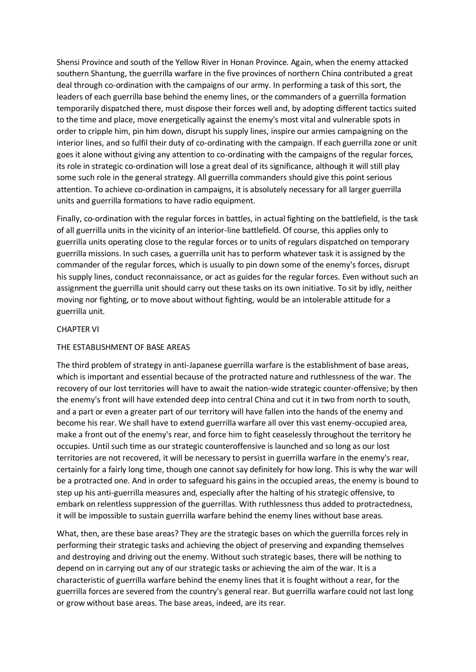Shensi Province and south of the Yellow River in Honan Province. Again, when the enemy attacked southern Shantung, the guerrilla warfare in the five provinces of northern China contributed a great deal through co-ordination with the campaigns of our army. In performing a task of this sort, the leaders of each guerrilla base behind the enemy lines, or the commanders of a guerrilla formation temporarily dispatched there, must dispose their forces well and, by adopting different tactics suited to the time and place, move energetically against the enemy's most vital and vulnerable spots in order to cripple him, pin him down, disrupt his supply lines, inspire our armies campaigning on the interior lines, and so fulfil their duty of co-ordinating with the campaign. If each guerrilla zone or unit goes it alone without giving any attention to co-ordinating with the campaigns of the regular forces, its role in strategic co-ordination will lose a great deal of its significance, although it will still play some such role in the general strategy. All guerrilla commanders should give this point serious attention. To achieve co-ordination in campaigns, it is absolutely necessary for all larger guerrilla units and guerrilla formations to have radio equipment.

Finally, co-ordination with the regular forces in battles, in actual fighting on the battlefield, is the task of all guerrilla units in the vicinity of an interior-line battlefield. Of course, this applies only to guerrilla units operating close to the regular forces or to units of regulars dispatched on temporary guerrilla missions. In such cases, a guerrilla unit has to perform whatever task it is assigned by the commander of the regular forces, which is usually to pin down some of the enemy's forces, disrupt his supply lines, conduct reconnaissance, or act as guides for the regular forces. Even without such an assignment the guerrilla unit should carry out these tasks on its own initiative. To sit by idly, neither moving nor fighting, or to move about without fighting, would be an intolerable attitude for a guerrilla unit.

# CHAPTER VI

# THE ESTABLISHMENT OF BASE AREAS

The third problem of strategy in anti-Japanese guerrilla warfare is the establishment of base areas, which is important and essential because of the protracted nature and ruthlessness of the war. The recovery of our lost territories will have to await the nation-wide strategic counter-offensive; by then the enemy's front will have extended deep into central China and cut it in two from north to south, and a part or even a greater part of our territory will have fallen into the hands of the enemy and become his rear. We shall have to extend guerrilla warfare all over this vast enemy-occupied area, make a front out of the enemy's rear, and force him to fight ceaselessly throughout the territory he occupies. Until such time as our strategic counteroffensive is launched and so long as our lost territories are not recovered, it will be necessary to persist in guerrilla warfare in the enemy's rear, certainly for a fairly long time, though one cannot say definitely for how long. This is why the war will be a protracted one. And in order to safeguard his gains in the occupied areas, the enemy is bound to step up his anti-guerrilla measures and, especially after the halting of his strategic offensive, to embark on relentless suppression of the guerrillas. With ruthlessness thus added to protractedness, it will be impossible to sustain guerrilla warfare behind the enemy lines without base areas.

What, then, are these base areas? They are the strategic bases on which the guerrilla forces rely in performing their strategic tasks and achieving the object of preserving and expanding themselves and destroying and driving out the enemy. Without such strategic bases, there will be nothing to depend on in carrying out any of our strategic tasks or achieving the aim of the war. It is a characteristic of guerrilla warfare behind the enemy lines that it is fought without a rear, for the guerrilla forces are severed from the country's general rear. But guerrilla warfare could not last long or grow without base areas. The base areas, indeed, are its rear.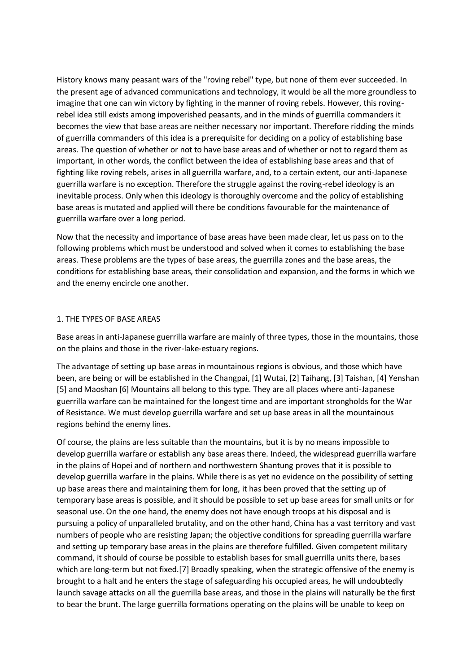History knows many peasant wars of the "roving rebel" type, but none of them ever succeeded. In the present age of advanced communications and technology, it would be all the more groundless to imagine that one can win victory by fighting in the manner of roving rebels. However, this rovingrebel idea still exists among impoverished peasants, and in the minds of guerrilla commanders it becomes the view that base areas are neither necessary nor important. Therefore ridding the minds of guerrilla commanders of this idea is a prerequisite for deciding on a policy of establishing base areas. The question of whether or not to have base areas and of whether or not to regard them as important, in other words, the conflict between the idea of establishing base areas and that of fighting like roving rebels, arises in all guerrilla warfare, and, to a certain extent, our anti-Japanese guerrilla warfare is no exception. Therefore the struggle against the roving-rebel ideology is an inevitable process. Only when this ideology is thoroughly overcome and the policy of establishing base areas is mutated and applied will there be conditions favourable for the maintenance of guerrilla warfare over a long period.

Now that the necessity and importance of base areas have been made clear, let us pass on to the following problems which must be understood and solved when it comes to establishing the base areas. These problems are the types of base areas, the guerrilla zones and the base areas, the conditions for establishing base areas, their consolidation and expansion, and the forms in which we and the enemy encircle one another.

### 1. THE TYPES OF BASE AREAS

Base areas in anti-Japanese guerrilla warfare are mainly of three types, those in the mountains, those on the plains and those in the river-lake-estuary regions.

The advantage of setting up base areas in mountainous regions is obvious, and those which have been, are being or will be established in the Changpai, [1] Wutai, [2] Taihang, [3] Taishan, [4] Yenshan [5] and Maoshan [6] Mountains all belong to this type. They are all places where anti-Japanese guerrilla warfare can be maintained for the longest time and are important strongholds for the War of Resistance. We must develop guerrilla warfare and set up base areas in all the mountainous regions behind the enemy lines.

Of course, the plains are less suitable than the mountains, but it is by no means impossible to develop guerrilla warfare or establish any base areas there. Indeed, the widespread guerrilla warfare in the plains of Hopei and of northern and northwestern Shantung proves that it is possible to develop guerrilla warfare in the plains. While there is as yet no evidence on the possibility of setting up base areas there and maintaining them for long, it has been proved that the setting up of temporary base areas is possible, and it should be possible to set up base areas for small units or for seasonal use. On the one hand, the enemy does not have enough troops at his disposal and is pursuing a policy of unparalleled brutality, and on the other hand, China has a vast territory and vast numbers of people who are resisting Japan; the objective conditions for spreading guerrilla warfare and setting up temporary base areas in the plains are therefore fulfilled. Given competent military command, it should of course be possible to establish bases for small guerrilla units there, bases which are long-term but not fixed.[7] Broadly speaking, when the strategic offensive of the enemy is brought to a halt and he enters the stage of safeguarding his occupied areas, he will undoubtedly launch savage attacks on all the guerrilla base areas, and those in the plains will naturally be the first to bear the brunt. The large guerrilla formations operating on the plains will be unable to keep on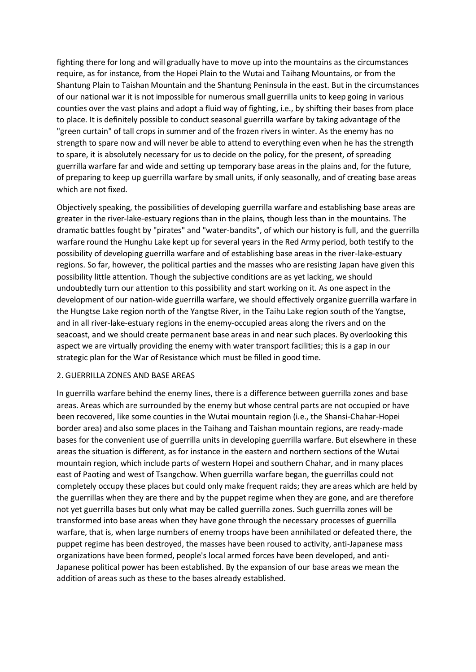fighting there for long and will gradually have to move up into the mountains as the circumstances require, as for instance, from the Hopei Plain to the Wutai and Taihang Mountains, or from the Shantung Plain to Taishan Mountain and the Shantung Peninsula in the east. But in the circumstances of our national war it is not impossible for numerous small guerrilla units to keep going in various counties over the vast plains and adopt a fluid way of fighting, i.e., by shifting their bases from place to place. It is definitely possible to conduct seasonal guerrilla warfare by taking advantage of the "green curtain" of tall crops in summer and of the frozen rivers in winter. As the enemy has no strength to spare now and will never be able to attend to everything even when he has the strength to spare, it is absolutely necessary for us to decide on the policy, for the present, of spreading guerrilla warfare far and wide and setting up temporary base areas in the plains and, for the future, of preparing to keep up guerrilla warfare by small units, if only seasonally, and of creating base areas which are not fixed.

Objectively speaking, the possibilities of developing guerrilla warfare and establishing base areas are greater in the river-lake-estuary regions than in the plains, though less than in the mountains. The dramatic battles fought by "pirates" and "water-bandits", of which our history is full, and the guerrilla warfare round the Hunghu Lake kept up for several years in the Red Army period, both testify to the possibility of developing guerrilla warfare and of establishing base areas in the river-lake-estuary regions. So far, however, the political parties and the masses who are resisting Japan have given this possibility little attention. Though the subjective conditions are as yet lacking, we should undoubtedly turn our attention to this possibility and start working on it. As one aspect in the development of our nation-wide guerrilla warfare, we should effectively organize guerrilla warfare in the Hungtse Lake region north of the Yangtse River, in the Taihu Lake region south of the Yangtse, and in all river-lake-estuary regions in the enemy-occupied areas along the rivers and on the seacoast, and we should create permanent base areas in and near such places. By overlooking this aspect we are virtually providing the enemy with water transport facilities; this is a gap in our strategic plan for the War of Resistance which must be filled in good time.

### 2. GUERRILLA ZONES AND BASE AREAS

In guerrilla warfare behind the enemy lines, there is a difference between guerrilla zones and base areas. Areas which are surrounded by the enemy but whose central parts are not occupied or have been recovered, like some counties in the Wutai mountain region (i.e., the Shansi-Chahar-Hopei border area) and also some places in the Taihang and Taishan mountain regions, are ready-made bases for the convenient use of guerrilla units in developing guerrilla warfare. But elsewhere in these areas the situation is different, as for instance in the eastern and northern sections of the Wutai mountain region, which include parts of western Hopei and southern Chahar, and in many places east of Paoting and west of Tsangchow. When guerrilla warfare began, the guerrillas could not completely occupy these places but could only make frequent raids; they are areas which are held by the guerrillas when they are there and by the puppet regime when they are gone, and are therefore not yet guerrilla bases but only what may be called guerrilla zones. Such guerrilla zones will be transformed into base areas when they have gone through the necessary processes of guerrilla warfare, that is, when large numbers of enemy troops have been annihilated or defeated there, the puppet regime has been destroyed, the masses have been roused to activity, anti-Japanese mass organizations have been formed, people's local armed forces have been developed, and anti-Japanese political power has been established. By the expansion of our base areas we mean the addition of areas such as these to the bases already established.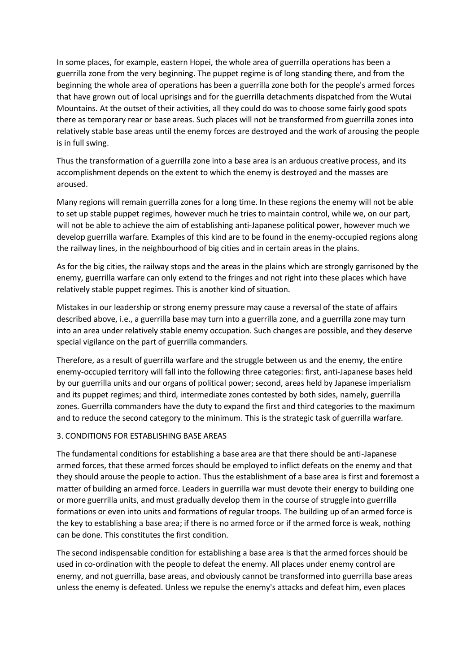In some places, for example, eastern Hopei, the whole area of guerrilla operations has been a guerrilla zone from the very beginning. The puppet regime is of long standing there, and from the beginning the whole area of operations has been a guerrilla zone both for the people's armed forces that have grown out of local uprisings and for the guerrilla detachments dispatched from the Wutai Mountains. At the outset of their activities, all they could do was to choose some fairly good spots there as temporary rear or base areas. Such places will not be transformed from guerrilla zones into relatively stable base areas until the enemy forces are destroyed and the work of arousing the people is in full swing.

Thus the transformation of a guerrilla zone into a base area is an arduous creative process, and its accomplishment depends on the extent to which the enemy is destroyed and the masses are aroused.

Many regions will remain guerrilla zones for a long time. In these regions the enemy will not be able to set up stable puppet regimes, however much he tries to maintain control, while we, on our part, will not be able to achieve the aim of establishing anti-Japanese political power, however much we develop guerrilla warfare. Examples of this kind are to be found in the enemy-occupied regions along the railway lines, in the neighbourhood of big cities and in certain areas in the plains.

As for the big cities, the railway stops and the areas in the plains which are strongly garrisoned by the enemy, guerrilla warfare can only extend to the fringes and not right into these places which have relatively stable puppet regimes. This is another kind of situation.

Mistakes in our leadership or strong enemy pressure may cause a reversal of the state of affairs described above, i.e., a guerrilla base may turn into a guerrilla zone, and a guerrilla zone may turn into an area under relatively stable enemy occupation. Such changes are possible, and they deserve special vigilance on the part of guerrilla commanders.

Therefore, as a result of guerrilla warfare and the struggle between us and the enemy, the entire enemy-occupied territory will fall into the following three categories: first, anti-Japanese bases held by our guerrilla units and our organs of political power; second, areas held by Japanese imperialism and its puppet regimes; and third, intermediate zones contested by both sides, namely, guerrilla zones. Guerrilla commanders have the duty to expand the first and third categories to the maximum and to reduce the second category to the minimum. This is the strategic task of guerrilla warfare.

### 3. CONDITIONS FOR ESTABLISHING BASE AREAS

The fundamental conditions for establishing a base area are that there should be anti-Japanese armed forces, that these armed forces should be employed to inflict defeats on the enemy and that they should arouse the people to action. Thus the establishment of a base area is first and foremost a matter of building an armed force. Leaders in guerrilla war must devote their energy to building one or more guerrilla units, and must gradually develop them in the course of struggle into guerrilla formations or even into units and formations of regular troops. The building up of an armed force is the key to establishing a base area; if there is no armed force or if the armed force is weak, nothing can be done. This constitutes the first condition.

The second indispensable condition for establishing a base area is that the armed forces should be used in co-ordination with the people to defeat the enemy. All places under enemy control are enemy, and not guerrilla, base areas, and obviously cannot be transformed into guerrilla base areas unless the enemy is defeated. Unless we repulse the enemy's attacks and defeat him, even places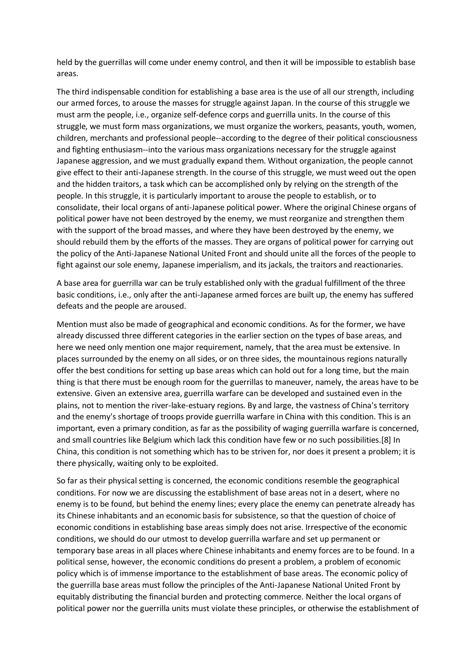held by the guerrillas will come under enemy control, and then it will be impossible to establish base areas.

The third indispensable condition for establishing a base area is the use of all our strength, including our armed forces, to arouse the masses for struggle against Japan. In the course of this struggle we must arm the people, i.e., organize self-defence corps and guerrilla units. In the course of this struggle, we must form mass organizations, we must organize the workers, peasants, youth, women, children, merchants and professional people--according to the degree of their political consciousness and fighting enthusiasm--into the various mass organizations necessary for the struggle against Japanese aggression, and we must gradually expand them. Without organization, the people cannot give effect to their anti-Japanese strength. In the course of this struggle, we must weed out the open and the hidden traitors, a task which can be accomplished only by relying on the strength of the people. In this struggle, it is particularly important to arouse the people to establish, or to consolidate, their local organs of anti-Japanese political power. Where the original Chinese organs of political power have not been destroyed by the enemy, we must reorganize and strengthen them with the support of the broad masses, and where they have been destroyed by the enemy, we should rebuild them by the efforts of the masses. They are organs of political power for carrying out the policy of the Anti-Japanese National United Front and should unite all the forces of the people to fight against our sole enemy, Japanese imperialism, and its jackals, the traitors and reactionaries.

A base area for guerrilla war can be truly established only with the gradual fulfillment of the three basic conditions, i.e., only after the anti-Japanese armed forces are built up, the enemy has suffered defeats and the people are aroused.

Mention must also be made of geographical and economic conditions. As for the former, we have already discussed three different categories in the earlier section on the types of base areas, and here we need only mention one major requirement, namely, that the area must be extensive. In places surrounded by the enemy on all sides, or on three sides, the mountainous regions naturally offer the best conditions for setting up base areas which can hold out for a long time, but the main thing is that there must be enough room for the guerrillas to maneuver, namely, the areas have to be extensive. Given an extensive area, guerrilla warfare can be developed and sustained even in the plains, not to mention the river-lake-estuary regions. By and large, the vastness of China's territory and the enemy's shortage of troops provide guerrilla warfare in China with this condition. This is an important, even a primary condition, as far as the possibility of waging guerrilla warfare is concerned, and small countries like Belgium which lack this condition have few or no such possibilities.[8] In China, this condition is not something which has to be striven for, nor does it present a problem; it is there physically, waiting only to be exploited.

So far as their physical setting is concerned, the economic conditions resemble the geographical conditions. For now we are discussing the establishment of base areas not in a desert, where no enemy is to be found, but behind the enemy lines; every place the enemy can penetrate already has its Chinese inhabitants and an economic basis for subsistence, so that the question of choice of economic conditions in establishing base areas simply does not arise. Irrespective of the economic conditions, we should do our utmost to develop guerrilla warfare and set up permanent or temporary base areas in all places where Chinese inhabitants and enemy forces are to be found. In a political sense, however, the economic conditions do present a problem, a problem of economic policy which is of immense importance to the establishment of base areas. The economic policy of the guerrilla base areas must follow the principles of the Anti-Japanese National United Front by equitably distributing the financial burden and protecting commerce. Neither the local organs of political power nor the guerrilla units must violate these principles, or otherwise the establishment of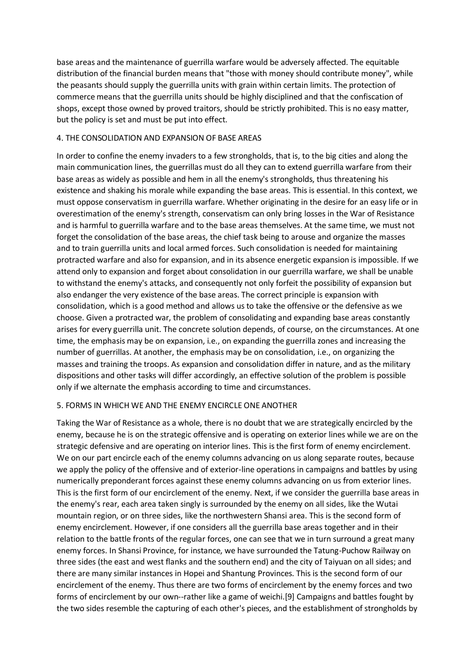base areas and the maintenance of guerrilla warfare would be adversely affected. The equitable distribution of the financial burden means that "those with money should contribute money", while the peasants should supply the guerrilla units with grain within certain limits. The protection of commerce means that the guerrilla units should be highly disciplined and that the confiscation of shops, except those owned by proved traitors, should be strictly prohibited. This is no easy matter, but the policy is set and must be put into effect.

### 4. THE CONSOLIDATION AND EXPANSION OF BASE AREAS

In order to confine the enemy invaders to a few strongholds, that is, to the big cities and along the main communication lines, the guerrillas must do all they can to extend guerrilla warfare from their base areas as widely as possible and hem in all the enemy's strongholds, thus threatening his existence and shaking his morale while expanding the base areas. This is essential. In this context, we must oppose conservatism in guerrilla warfare. Whether originating in the desire for an easy life or in overestimation of the enemy's strength, conservatism can only bring losses in the War of Resistance and is harmful to guerrilla warfare and to the base areas themselves. At the same time, we must not forget the consolidation of the base areas, the chief task being to arouse and organize the masses and to train guerrilla units and local armed forces. Such consolidation is needed for maintaining protracted warfare and also for expansion, and in its absence energetic expansion is impossible. If we attend only to expansion and forget about consolidation in our guerrilla warfare, we shall be unable to withstand the enemy's attacks, and consequently not only forfeit the possibility of expansion but also endanger the very existence of the base areas. The correct principle is expansion with consolidation, which is a good method and allows us to take the offensive or the defensive as we choose. Given a protracted war, the problem of consolidating and expanding base areas constantly arises for every guerrilla unit. The concrete solution depends, of course, on the circumstances. At one time, the emphasis may be on expansion, i.e., on expanding the guerrilla zones and increasing the number of guerrillas. At another, the emphasis may be on consolidation, i.e., on organizing the masses and training the troops. As expansion and consolidation differ in nature, and as the military dispositions and other tasks will differ accordingly, an effective solution of the problem is possible only if we alternate the emphasis according to time and circumstances.

### 5. FORMS IN WHICH WE AND THE ENEMY ENCIRCLE ONE ANOTHER

Taking the War of Resistance as a whole, there is no doubt that we are strategically encircled by the enemy, because he is on the strategic offensive and is operating on exterior lines while we are on the strategic defensive and are operating on interior lines. This is the first form of enemy encirclement. We on our part encircle each of the enemy columns advancing on us along separate routes, because we apply the policy of the offensive and of exterior-line operations in campaigns and battles by using numerically preponderant forces against these enemy columns advancing on us from exterior lines. This is the first form of our encirclement of the enemy. Next, if we consider the guerrilla base areas in the enemy's rear, each area taken singly is surrounded by the enemy on all sides, like the Wutai mountain region, or on three sides, like the northwestern Shansi area. This is the second form of enemy encirclement. However, if one considers all the guerrilla base areas together and in their relation to the battle fronts of the regular forces, one can see that we in turn surround a great many enemy forces. In Shansi Province, for instance, we have surrounded the Tatung-Puchow Railway on three sides (the east and west flanks and the southern end) and the city of Taiyuan on all sides; and there are many similar instances in Hopei and Shantung Provinces. This is the second form of our encirclement of the enemy. Thus there are two forms of encirclement by the enemy forces and two forms of encirclement by our own--rather like a game of weichi.[9] Campaigns and battles fought by the two sides resemble the capturing of each other's pieces, and the establishment of strongholds by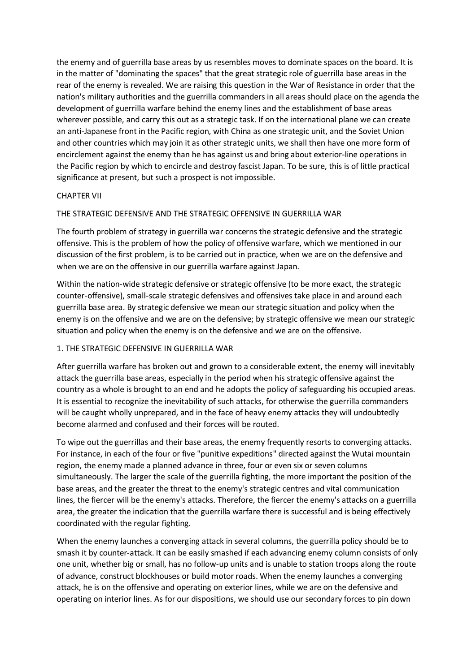the enemy and of guerrilla base areas by us resembles moves to dominate spaces on the board. It is in the matter of "dominating the spaces" that the great strategic role of guerrilla base areas in the rear of the enemy is revealed. We are raising this question in the War of Resistance in order that the nation's military authorities and the guerrilla commanders in all areas should place on the agenda the development of guerrilla warfare behind the enemy lines and the establishment of base areas wherever possible, and carry this out as a strategic task. If on the international plane we can create an anti-Japanese front in the Pacific region, with China as one strategic unit, and the Soviet Union and other countries which may join it as other strategic units, we shall then have one more form of encirclement against the enemy than he has against us and bring about exterior-line operations in the Pacific region by which to encircle and destroy fascist Japan. To be sure, this is of little practical significance at present, but such a prospect is not impossible.

# CHAPTER VII

# THE STRATEGIC DEFENSIVE AND THE STRATEGIC OFFENSIVE IN GUERRILLA WAR

The fourth problem of strategy in guerrilla war concerns the strategic defensive and the strategic offensive. This is the problem of how the policy of offensive warfare, which we mentioned in our discussion of the first problem, is to be carried out in practice, when we are on the defensive and when we are on the offensive in our guerrilla warfare against Japan.

Within the nation-wide strategic defensive or strategic offensive (to be more exact, the strategic counter-offensive), small-scale strategic defensives and offensives take place in and around each guerrilla base area. By strategic defensive we mean our strategic situation and policy when the enemy is on the offensive and we are on the defensive; by strategic offensive we mean our strategic situation and policy when the enemy is on the defensive and we are on the offensive.

# 1. THE STRATEGIC DEFENSIVE IN GUERRILLA WAR

After guerrilla warfare has broken out and grown to a considerable extent, the enemy will inevitably attack the guerrilla base areas, especially in the period when his strategic offensive against the country as a whole is brought to an end and he adopts the policy of safeguarding his occupied areas. It is essential to recognize the inevitability of such attacks, for otherwise the guerrilla commanders will be caught wholly unprepared, and in the face of heavy enemy attacks they will undoubtedly become alarmed and confused and their forces will be routed.

To wipe out the guerrillas and their base areas, the enemy frequently resorts to converging attacks. For instance, in each of the four or five "punitive expeditions" directed against the Wutai mountain region, the enemy made a planned advance in three, four or even six or seven columns simultaneously. The larger the scale of the guerrilla fighting, the more important the position of the base areas, and the greater the threat to the enemy's strategic centres and vital communication lines, the fiercer will be the enemy's attacks. Therefore, the fiercer the enemy's attacks on a guerrilla area, the greater the indication that the guerrilla warfare there is successful and is being effectively coordinated with the regular fighting.

When the enemy launches a converging attack in several columns, the guerrilla policy should be to smash it by counter-attack. It can be easily smashed if each advancing enemy column consists of only one unit, whether big or small, has no follow-up units and is unable to station troops along the route of advance, construct blockhouses or build motor roads. When the enemy launches a converging attack, he is on the offensive and operating on exterior lines, while we are on the defensive and operating on interior lines. As for our dispositions, we should use our secondary forces to pin down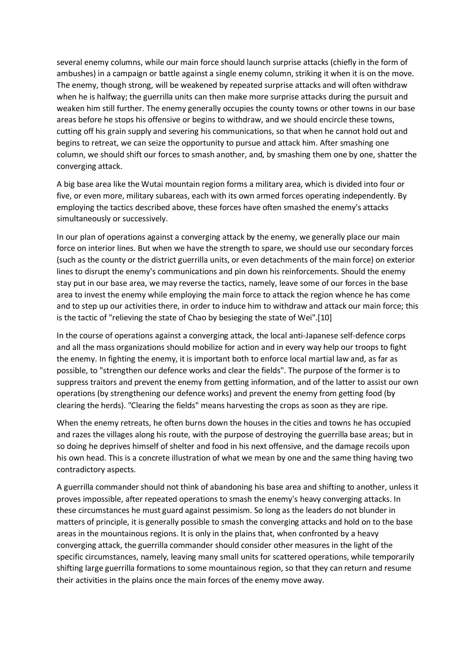several enemy columns, while our main force should launch surprise attacks (chiefly in the form of ambushes) in a campaign or battle against a single enemy column, striking it when it is on the move. The enemy, though strong, will be weakened by repeated surprise attacks and will often withdraw when he is halfway; the guerrilla units can then make more surprise attacks during the pursuit and weaken him still further. The enemy generally occupies the county towns or other towns in our base areas before he stops his offensive or begins to withdraw, and we should encircle these towns, cutting off his grain supply and severing his communications, so that when he cannot hold out and begins to retreat, we can seize the opportunity to pursue and attack him. After smashing one column, we should shift our forces to smash another, and, by smashing them one by one, shatter the converging attack.

A big base area like the Wutai mountain region forms a military area, which is divided into four or five, or even more, military subareas, each with its own armed forces operating independently. By employing the tactics described above, these forces have often smashed the enemy's attacks simultaneously or successively.

In our plan of operations against a converging attack by the enemy, we generally place our main force on interior lines. But when we have the strength to spare, we should use our secondary forces (such as the county or the district guerrilla units, or even detachments of the main force) on exterior lines to disrupt the enemy's communications and pin down his reinforcements. Should the enemy stay put in our base area, we may reverse the tactics, namely, leave some of our forces in the base area to invest the enemy while employing the main force to attack the region whence he has come and to step up our activities there, in order to induce him to withdraw and attack our main force; this is the tactic of "relieving the state of Chao by besieging the state of Wei".[10]

In the course of operations against a converging attack, the local anti-Japanese self-defence corps and all the mass organizations should mobilize for action and in every way help our troops to fight the enemy. In fighting the enemy, it is important both to enforce local martial law and, as far as possible, to "strengthen our defence works and clear the fields". The purpose of the former is to suppress traitors and prevent the enemy from getting information, and of the latter to assist our own operations (by strengthening our defence works) and prevent the enemy from getting food (by clearing the herds). "Clearing the fields" means harvesting the crops as soon as they are ripe.

When the enemy retreats, he often burns down the houses in the cities and towns he has occupied and razes the villages along his route, with the purpose of destroying the guerrilla base areas; but in so doing he deprives himself of shelter and food in his next offensive, and the damage recoils upon his own head. This is a concrete illustration of what we mean by one and the same thing having two contradictory aspects.

A guerrilla commander should not think of abandoning his base area and shifting to another, unless it proves impossible, after repeated operations to smash the enemy's heavy converging attacks. In these circumstances he must guard against pessimism. So long as the leaders do not blunder in matters of principle, it is generally possible to smash the converging attacks and hold on to the base areas in the mountainous regions. It is only in the plains that, when confronted by a heavy converging attack, the guerrilla commander should consider other measures in the light of the specific circumstances, namely, leaving many small units for scattered operations, while temporarily shifting large guerrilla formations to some mountainous region, so that they can return and resume their activities in the plains once the main forces of the enemy move away.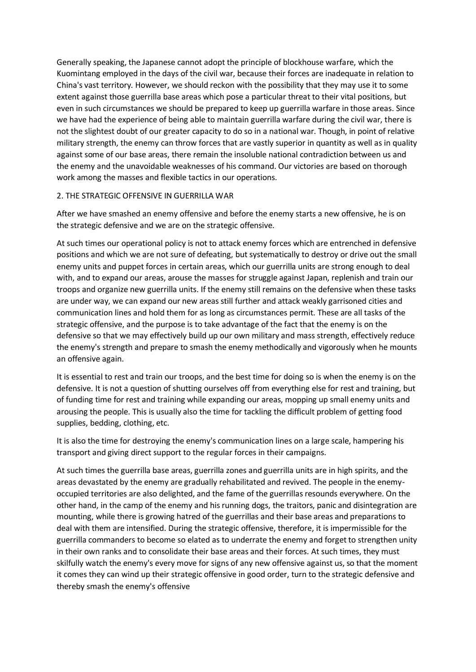Generally speaking, the Japanese cannot adopt the principle of blockhouse warfare, which the Kuomintang employed in the days of the civil war, because their forces are inadequate in relation to China's vast territory. However, we should reckon with the possibility that they may use it to some extent against those guerrilla base areas which pose a particular threat to their vital positions, but even in such circumstances we should be prepared to keep up guerrilla warfare in those areas. Since we have had the experience of being able to maintain guerrilla warfare during the civil war, there is not the slightest doubt of our greater capacity to do so in a national war. Though, in point of relative military strength, the enemy can throw forces that are vastly superior in quantity as well as in quality against some of our base areas, there remain the insoluble national contradiction between us and the enemy and the unavoidable weaknesses of his command. Our victories are based on thorough work among the masses and flexible tactics in our operations.

# 2. THE STRATEGIC OFFENSIVE IN GUERRILLA WAR

After we have smashed an enemy offensive and before the enemy starts a new offensive, he is on the strategic defensive and we are on the strategic offensive.

At such times our operational policy is not to attack enemy forces which are entrenched in defensive positions and which we are not sure of defeating, but systematically to destroy or drive out the small enemy units and puppet forces in certain areas, which our guerrilla units are strong enough to deal with, and to expand our areas, arouse the masses for struggle against Japan, replenish and train our troops and organize new guerrilla units. If the enemy still remains on the defensive when these tasks are under way, we can expand our new areas still further and attack weakly garrisoned cities and communication lines and hold them for as long as circumstances permit. These are all tasks of the strategic offensive, and the purpose is to take advantage of the fact that the enemy is on the defensive so that we may effectively build up our own military and mass strength, effectively reduce the enemy's strength and prepare to smash the enemy methodically and vigorously when he mounts an offensive again.

It is essential to rest and train our troops, and the best time for doing so is when the enemy is on the defensive. It is not a question of shutting ourselves off from everything else for rest and training, but of funding time for rest and training while expanding our areas, mopping up small enemy units and arousing the people. This is usually also the time for tackling the difficult problem of getting food supplies, bedding, clothing, etc.

It is also the time for destroying the enemy's communication lines on a large scale, hampering his transport and giving direct support to the regular forces in their campaigns.

At such times the guerrilla base areas, guerrilla zones and guerrilla units are in high spirits, and the areas devastated by the enemy are gradually rehabilitated and revived. The people in the enemyoccupied territories are also delighted, and the fame of the guerrillas resounds everywhere. On the other hand, in the camp of the enemy and his running dogs, the traitors, panic and disintegration are mounting, while there is growing hatred of the guerrillas and their base areas and preparations to deal with them are intensified. During the strategic offensive, therefore, it is impermissible for the guerrilla commanders to become so elated as to underrate the enemy and forget to strengthen unity in their own ranks and to consolidate their base areas and their forces. At such times, they must skilfully watch the enemy's every move for signs of any new offensive against us, so that the moment it comes they can wind up their strategic offensive in good order, turn to the strategic defensive and thereby smash the enemy's offensive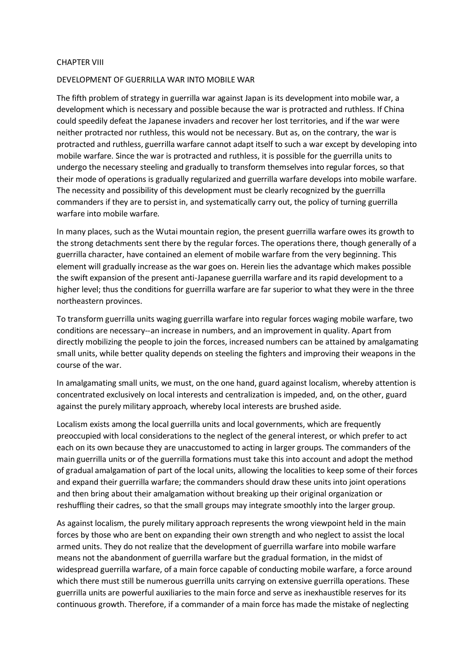#### CHAPTER VIII

#### DEVELOPMENT OF GUERRILLA WAR INTO MOBILE WAR

The fifth problem of strategy in guerrilla war against Japan is its development into mobile war, a development which is necessary and possible because the war is protracted and ruthless. If China could speedily defeat the Japanese invaders and recover her lost territories, and if the war were neither protracted nor ruthless, this would not be necessary. But as, on the contrary, the war is protracted and ruthless, guerrilla warfare cannot adapt itself to such a war except by developing into mobile warfare. Since the war is protracted and ruthless, it is possible for the guerrilla units to undergo the necessary steeling and gradually to transform themselves into regular forces, so that their mode of operations is gradually regularized and guerrilla warfare develops into mobile warfare. The necessity and possibility of this development must be clearly recognized by the guerrilla commanders if they are to persist in, and systematically carry out, the policy of turning guerrilla warfare into mobile warfare.

In many places, such as the Wutai mountain region, the present guerrilla warfare owes its growth to the strong detachments sent there by the regular forces. The operations there, though generally of a guerrilla character, have contained an element of mobile warfare from the very beginning. This element will gradually increase as the war goes on. Herein lies the advantage which makes possible the swift expansion of the present anti-Japanese guerrilla warfare and its rapid development to a higher level; thus the conditions for guerrilla warfare are far superior to what they were in the three northeastern provinces.

To transform guerrilla units waging guerrilla warfare into regular forces waging mobile warfare, two conditions are necessary--an increase in numbers, and an improvement in quality. Apart from directly mobilizing the people to join the forces, increased numbers can be attained by amalgamating small units, while better quality depends on steeling the fighters and improving their weapons in the course of the war.

In amalgamating small units, we must, on the one hand, guard against localism, whereby attention is concentrated exclusively on local interests and centralization is impeded, and, on the other, guard against the purely military approach, whereby local interests are brushed aside.

Localism exists among the local guerrilla units and local governments, which are frequently preoccupied with local considerations to the neglect of the general interest, or which prefer to act each on its own because they are unaccustomed to acting in larger groups. The commanders of the main guerrilla units or of the guerrilla formations must take this into account and adopt the method of gradual amalgamation of part of the local units, allowing the localities to keep some of their forces and expand their guerrilla warfare; the commanders should draw these units into joint operations and then bring about their amalgamation without breaking up their original organization or reshuffling their cadres, so that the small groups may integrate smoothly into the larger group.

As against localism, the purely military approach represents the wrong viewpoint held in the main forces by those who are bent on expanding their own strength and who neglect to assist the local armed units. They do not realize that the development of guerrilla warfare into mobile warfare means not the abandonment of guerrilla warfare but the gradual formation, in the midst of widespread guerrilla warfare, of a main force capable of conducting mobile warfare, a force around which there must still be numerous guerrilla units carrying on extensive guerrilla operations. These guerrilla units are powerful auxiliaries to the main force and serve as inexhaustible reserves for its continuous growth. Therefore, if a commander of a main force has made the mistake of neglecting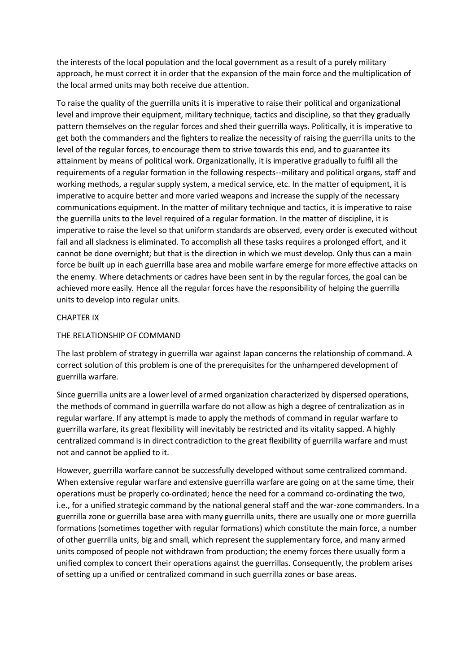the interests of the local population and the local government as a result of a purely military approach, he must correct it in order that the expansion of the main force and the multiplication of the local armed units may both receive due attention.

To raise the quality of the guerrilla units it is imperative to raise their political and organizational level and improve their equipment, military technique, tactics and discipline, so that they gradually pattern themselves on the regular forces and shed their guerrilla ways. Politically, it is imperative to get both the commanders and the fighters to realize the necessity of raising the guerrilla units to the level of the regular forces, to encourage them to strive towards this end, and to guarantee its attainment by means of political work. Organizationally, it is imperative gradually to fulfil all the requirements of a regular formation in the following respects--military and political organs, staff and working methods, a regular supply system, a medical service, etc. In the matter of equipment, it is imperative to acquire better and more varied weapons and increase the supply of the necessary communications equipment. In the matter of military technique and tactics, it is imperative to raise the guerrilla units to the level required of a regular formation. In the matter of discipline, it is imperative to raise the level so that uniform standards are observed, every order is executed without fail and all slackness is eliminated. To accomplish all these tasks requires a prolonged effort, and it cannot be done overnight; but that is the direction in which we must develop. Only thus can a main force be built up in each guerrilla base area and mobile warfare emerge for more effective attacks on the enemy. Where detachments or cadres have been sent in by the regular forces, the goal can be achieved more easily. Hence all the regular forces have the responsibility of helping the guerrilla units to develop into regular units.

# CHAPTER IX

# THE RELATIONSHIP OF COMMAND

The last problem of strategy in guerrilla war against Japan concerns the relationship of command. A correct solution of this problem is one of the prerequisites for the unhampered development of guerrilla warfare.

Since guerrilla units are a lower level of armed organization characterized by dispersed operations, the methods of command in guerrilla warfare do not allow as high a degree of centralization as in regular warfare. If any attempt is made to apply the methods of command in regular warfare to guerrilla warfare, its great flexibility will inevitably be restricted and its vitality sapped. A highly centralized command is in direct contradiction to the great flexibility of guerrilla warfare and must not and cannot be applied to it.

However, guerrilla warfare cannot be successfully developed without some centralized command. When extensive regular warfare and extensive guerrilla warfare are going on at the same time, their operations must be properly co-ordinated; hence the need for a command co-ordinating the two, i.e., for a unified strategic command by the national general staff and the war-zone commanders. In a guerrilla zone or guerrilla base area with many guerrilla units, there are usually one or more guerrilla formations (sometimes together with regular formations) which constitute the main force, a number of other guerrilla units, big and small, which represent the supplementary force, and many armed units composed of people not withdrawn from production; the enemy forces there usually form a unified complex to concert their operations against the guerrillas. Consequently, the problem arises of setting up a unified or centralized command in such guerrilla zones or base areas.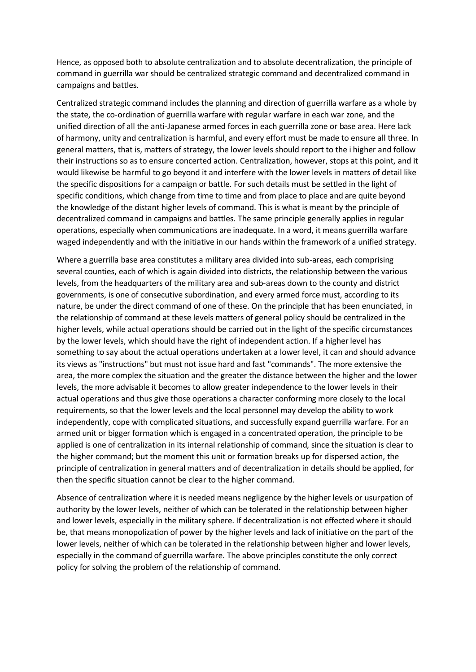Hence, as opposed both to absolute centralization and to absolute decentralization, the principle of command in guerrilla war should be centralized strategic command and decentralized command in campaigns and battles.

Centralized strategic command includes the planning and direction of guerrilla warfare as a whole by the state, the co-ordination of guerrilla warfare with regular warfare in each war zone, and the unified direction of all the anti-Japanese armed forces in each guerrilla zone or base area. Here lack of harmony, unity and centralization is harmful, and every effort must be made to ensure all three. In general matters, that is, matters of strategy, the lower levels should report to the i higher and follow their instructions so as to ensure concerted action. Centralization, however, stops at this point, and it would likewise be harmful to go beyond it and interfere with the lower levels in matters of detail like the specific dispositions for a campaign or battle. For such details must be settled in the light of specific conditions, which change from time to time and from place to place and are quite beyond the knowledge of the distant higher levels of command. This is what is meant by the principle of decentralized command in campaigns and battles. The same principle generally applies in regular operations, especially when communications are inadequate. In a word, it means guerrilla warfare waged independently and with the initiative in our hands within the framework of a unified strategy.

Where a guerrilla base area constitutes a military area divided into sub-areas, each comprising several counties, each of which is again divided into districts, the relationship between the various levels, from the headquarters of the military area and sub-areas down to the county and district governments, is one of consecutive subordination, and every armed force must, according to its nature, be under the direct command of one of these. On the principle that has been enunciated, in the relationship of command at these levels matters of general policy should be centralized in the higher levels, while actual operations should be carried out in the light of the specific circumstances by the lower levels, which should have the right of independent action. If a higher level has something to say about the actual operations undertaken at a lower level, it can and should advance its views as "instructions" but must not issue hard and fast "commands". The more extensive the area, the more complex the situation and the greater the distance between the higher and the lower levels, the more advisable it becomes to allow greater independence to the lower levels in their actual operations and thus give those operations a character conforming more closely to the local requirements, so that the lower levels and the local personnel may develop the ability to work independently, cope with complicated situations, and successfully expand guerrilla warfare. For an armed unit or bigger formation which is engaged in a concentrated operation, the principle to be applied is one of centralization in its internal relationship of command, since the situation is clear to the higher command; but the moment this unit or formation breaks up for dispersed action, the principle of centralization in general matters and of decentralization in details should be applied, for then the specific situation cannot be clear to the higher command.

Absence of centralization where it is needed means negligence by the higher levels or usurpation of authority by the lower levels, neither of which can be tolerated in the relationship between higher and lower levels, especially in the military sphere. If decentralization is not effected where it should be, that means monopolization of power by the higher levels and lack of initiative on the part of the lower levels, neither of which can be tolerated in the relationship between higher and lower levels, especially in the command of guerrilla warfare. The above principles constitute the only correct policy for solving the problem of the relationship of command.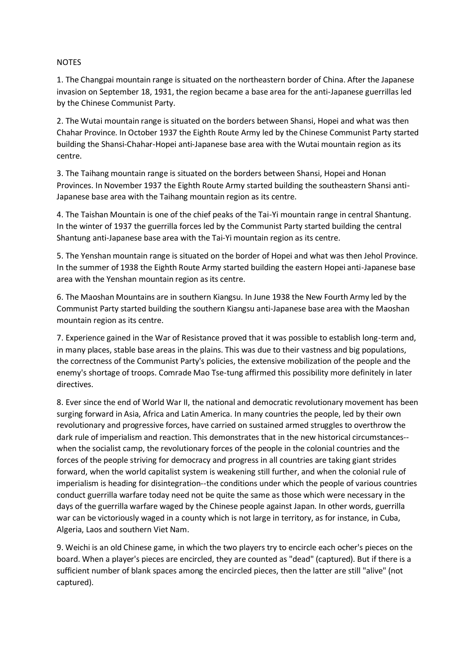# NOTES

1. The Changpai mountain range is situated on the northeastern border of China. After the Japanese invasion on September 18, 1931, the region became a base area for the anti-Japanese guerrillas led by the Chinese Communist Party.

2. The Wutai mountain range is situated on the borders between Shansi, Hopei and what was then Chahar Province. In October 1937 the Eighth Route Army led by the Chinese Communist Party started building the Shansi-Chahar-Hopei anti-Japanese base area with the Wutai mountain region as its centre.

3. The Taihang mountain range is situated on the borders between Shansi, Hopei and Honan Provinces. In November 1937 the Eighth Route Army started building the southeastern Shansi anti-Japanese base area with the Taihang mountain region as its centre.

4. The Taishan Mountain is one of the chief peaks of the Tai-Yi mountain range in central Shantung. In the winter of 1937 the guerrilla forces led by the Communist Party started building the central Shantung anti-Japanese base area with the Tai-Yi mountain region as its centre.

5. The Yenshan mountain range is situated on the border of Hopei and what was then Jehol Province. In the summer of 1938 the Eighth Route Army started building the eastern Hopei anti-Japanese base area with the Yenshan mountain region as its centre.

6. The Maoshan Mountains are in southern Kiangsu. In June 1938 the New Fourth Army led by the Communist Party started building the southern Kiangsu anti-Japanese base area with the Maoshan mountain region as its centre.

7. Experience gained in the War of Resistance proved that it was possible to establish long-term and, in many places, stable base areas in the plains. This was due to their vastness and big populations, the correctness of the Communist Party's policies, the extensive mobilization of the people and the enemy's shortage of troops. Comrade Mao Tse-tung affirmed this possibility more definitely in later directives.

8. Ever since the end of World War II, the national and democratic revolutionary movement has been surging forward in Asia, Africa and Latin America. In many countries the people, led by their own revolutionary and progressive forces, have carried on sustained armed struggles to overthrow the dark rule of imperialism and reaction. This demonstrates that in the new historical circumstances- when the socialist camp, the revolutionary forces of the people in the colonial countries and the forces of the people striving for democracy and progress in all countries are taking giant strides forward, when the world capitalist system is weakening still further, and when the colonial rule of imperialism is heading for disintegration--the conditions under which the people of various countries conduct guerrilla warfare today need not be quite the same as those which were necessary in the days of the guerrilla warfare waged by the Chinese people against Japan. In other words, guerrilla war can be victoriously waged in a county which is not large in territory, as for instance, in Cuba, Algeria, Laos and southern Viet Nam.

9. Weichi is an old Chinese game, in which the two players try to encircle each ocher's pieces on the board. When a player's pieces are encircled, they are counted as "dead" (captured). But if there is a sufficient number of blank spaces among the encircled pieces, then the latter are still "alive" (not captured).